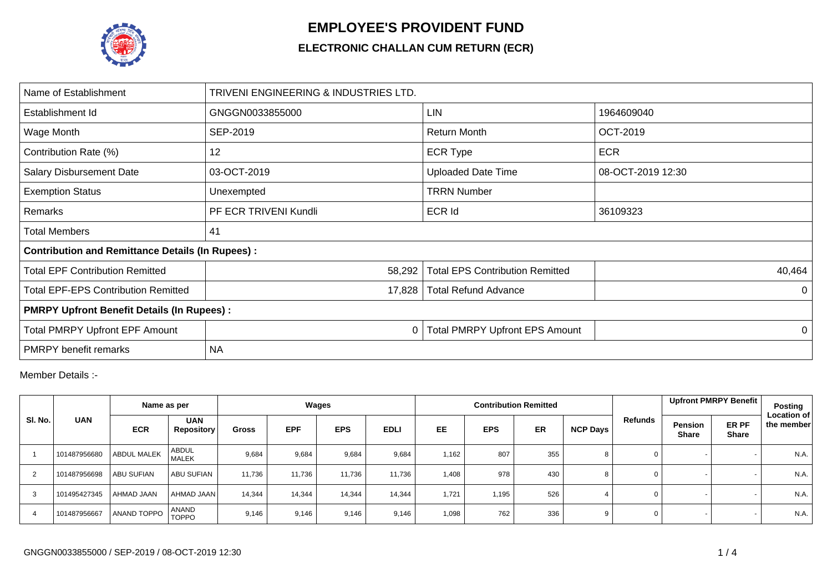

## **EMPLOYEE'S PROVIDENT FUND**

## **ELECTRONIC CHALLAN CUM RETURN (ECR)**

| Name of Establishment                                   | TRIVENI ENGINEERING & INDUSTRIES LTD. |                                        |                   |  |  |  |  |  |  |
|---------------------------------------------------------|---------------------------------------|----------------------------------------|-------------------|--|--|--|--|--|--|
| Establishment Id                                        | GNGGN0033855000                       | <b>LIN</b>                             | 1964609040        |  |  |  |  |  |  |
| Wage Month                                              | SEP-2019                              | <b>Return Month</b>                    | OCT-2019          |  |  |  |  |  |  |
| Contribution Rate (%)                                   | 12                                    | <b>ECR Type</b>                        | <b>ECR</b>        |  |  |  |  |  |  |
| Salary Disbursement Date                                | 03-OCT-2019                           | <b>Uploaded Date Time</b>              | 08-OCT-2019 12:30 |  |  |  |  |  |  |
| <b>Exemption Status</b>                                 | Unexempted                            | <b>TRRN Number</b>                     |                   |  |  |  |  |  |  |
| Remarks                                                 | PF ECR TRIVENI Kundli                 | <b>ECR Id</b>                          | 36109323          |  |  |  |  |  |  |
| Total Members                                           | 41                                    |                                        |                   |  |  |  |  |  |  |
| <b>Contribution and Remittance Details (In Rupees):</b> |                                       |                                        |                   |  |  |  |  |  |  |
| <b>Total EPF Contribution Remitted</b>                  | 58,292                                | <b>Total EPS Contribution Remitted</b> | 40,464            |  |  |  |  |  |  |
| <b>Total EPF-EPS Contribution Remitted</b>              | 17,828                                | <b>Total Refund Advance</b>            | 0                 |  |  |  |  |  |  |
| <b>PMRPY Upfront Benefit Details (In Rupees):</b>       |                                       |                                        |                   |  |  |  |  |  |  |
| Total PMRPY Upfront EPF Amount                          | 0                                     | <b>Total PMRPY Upfront EPS Amount</b>  | 0                 |  |  |  |  |  |  |
| <b>PMRPY</b> benefit remarks                            | <b>NA</b>                             |                                        |                   |  |  |  |  |  |  |

Member Details :-

|                |              | Name as per       |                                 | Wages        |            |            |             |           |            | <b>Contribution Remitted</b> |          |              | Upfront PMRPY Benefit                                   | Posting                          |
|----------------|--------------|-------------------|---------------------------------|--------------|------------|------------|-------------|-----------|------------|------------------------------|----------|--------------|---------------------------------------------------------|----------------------------------|
| SI. No.        | <b>UAN</b>   | <b>ECR</b>        | <b>UAN</b><br><b>Repository</b> | <b>Gross</b> | <b>EPF</b> | <b>EPS</b> | <b>EDLI</b> | <b>EE</b> | <b>EPS</b> | <b>ER</b>                    | NCP Days | Refunds      | ER PF<br><b>Pension</b><br><b>Share</b><br><b>Share</b> | <b>Location of</b><br>the member |
|                | 101487956680 | ABDUL MALEK       | <b>ABDUL</b><br><b>MALEK</b>    | 9,684        | 9,684      | 9,684      | 9,684       | 1,162     | 807        | 355                          | 8        | 0            |                                                         | N.A.                             |
| $\overline{2}$ | 101487956698 | <b>ABU SUFIAN</b> | ABU SUFIAN                      | 11.736       | 11,736     | 11,736     | 11.736      | 1,408     | 978        | 430                          | 8        | $\mathbf 0$  |                                                         | N.A.                             |
| 3              | 101495427345 | AHMAD JAAN        | AHMAD JAAN                      | 14,344       | 14,344     | 14,344     | 14,344      | 1,721     | 1,195      | 526                          |          | $\mathbf 0$  |                                                         | N.A.                             |
|                | 101487956667 | ANAND TOPPO       | ANAND<br><b>TOPPO</b>           | 9,146        | 9,146      | 9,146      | 9,146       | 1,098     | 762        | 336                          |          | $\mathbf{0}$ |                                                         | N.A.                             |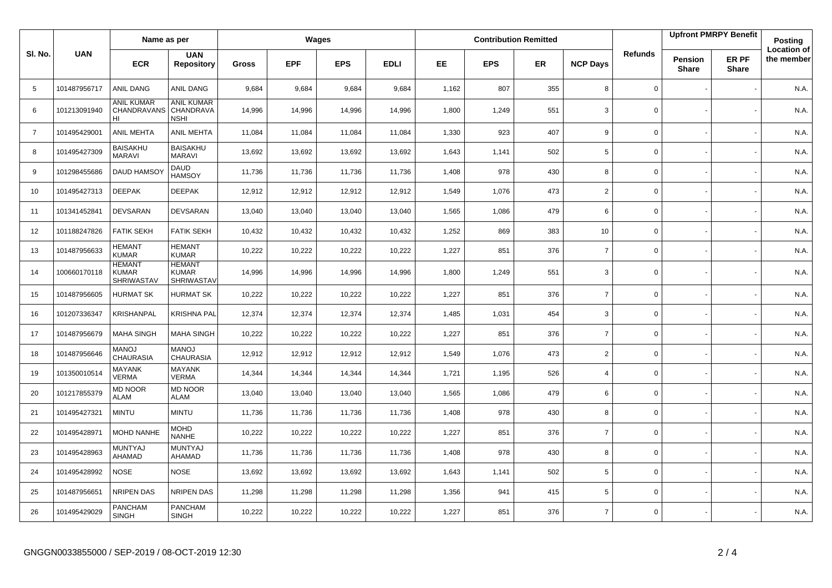|                |              | Name as per                                        |                                               | Wages  |            |            |             | <b>Contribution Remitted</b> |            |           |                 |                | <b>Upfront PMRPY Benefit</b>   |                       | <b>Posting</b>                   |
|----------------|--------------|----------------------------------------------------|-----------------------------------------------|--------|------------|------------|-------------|------------------------------|------------|-----------|-----------------|----------------|--------------------------------|-----------------------|----------------------------------|
| SI. No.        | <b>UAN</b>   | <b>ECR</b>                                         | <b>UAN</b><br><b>Repository</b>               | Gross  | <b>EPF</b> | <b>EPS</b> | <b>EDLI</b> | <b>EE</b>                    | <b>EPS</b> | <b>ER</b> | <b>NCP Days</b> | <b>Refunds</b> | <b>Pension</b><br><b>Share</b> | ER PF<br><b>Share</b> | <b>Location of</b><br>the member |
| 5              | 101487956717 | ANIL DANG                                          | ANIL DANG                                     | 9,684  | 9,684      | 9,684      | 9,684       | 1,162                        | 807        | 355       | 8               | $\mathbf 0$    |                                |                       | N.A.                             |
| 6              | 101213091940 | <b>ANIL KUMAR</b><br>CHANDRAVANS<br>HI             | <b>ANIL KUMAR</b><br>CHANDRAVA<br><b>NSHI</b> | 14,996 | 14,996     | 14,996     | 14,996      | 1,800                        | 1,249      | 551       | 3               | $\mathbf 0$    |                                |                       | N.A.                             |
| $\overline{7}$ | 101495429001 | <b>ANIL MEHTA</b>                                  | <b>ANIL MEHTA</b>                             | 11,084 | 11,084     | 11,084     | 11,084      | 1,330                        | 923        | 407       | 9               | 0              |                                |                       | N.A.                             |
| 8              | 101495427309 | <b>BAISAKHU</b><br><b>MARAVI</b>                   | <b>BAISAKHU</b><br><b>MARAVI</b>              | 13,692 | 13,692     | 13,692     | 13,692      | 1,643                        | 1,141      | 502       | 5               | 0              |                                |                       | N.A.                             |
| 9              | 101298455686 | <b>DAUD HAMSO</b>                                  | <b>DAUD</b><br><b>HAMSOY</b>                  | 11,736 | 11,736     | 11,736     | 11,736      | 1,408                        | 978        | 430       | 8               | 0              |                                |                       | N.A.                             |
| 10             | 101495427313 | <b>DEEPAK</b>                                      | <b>DEEPAK</b>                                 | 12,912 | 12,912     | 12,912     | 12,912      | 1,549                        | 1,076      | 473       | $\overline{2}$  | 0              |                                |                       | N.A.                             |
| 11             | 101341452841 | <b>DEVSARAN</b>                                    | <b>DEVSARAN</b>                               | 13,040 | 13,040     | 13,040     | 13,040      | 1,565                        | 1,086      | 479       | 6               | 0              |                                |                       | N.A.                             |
| 12             | 101188247826 | <b>FATIK SEKH</b>                                  | <b>FATIK SEKH</b>                             | 10,432 | 10,432     | 10,432     | 10,432      | 1,252                        | 869        | 383       | 10              | 0              |                                |                       | N.A.                             |
| 13             | 101487956633 | <b>HEMANT</b><br><b>KUMAR</b>                      | <b>HEMANT</b><br><b>KUMAR</b>                 | 10,222 | 10,222     | 10,222     | 10,222      | 1,227                        | 851        | 376       | $\overline{7}$  | 0              |                                |                       | N.A.                             |
| 14             | 100660170118 | <b>HEMANT</b><br><b>KUMAR</b><br><b>SHRIWASTAV</b> | <b>HEMANT</b><br>KUMAR<br><b>SHRIWASTAV</b>   | 14,996 | 14,996     | 14,996     | 14,996      | 1,800                        | 1,249      | 551       | 3               | 0              |                                |                       | N.A.                             |
| 15             | 101487956605 | <b>HURMAT SK</b>                                   | <b>HURMAT SK</b>                              | 10,222 | 10,222     | 10,222     | 10,222      | 1,227                        | 851        | 376       | $\overline{7}$  | 0              |                                |                       | N.A.                             |
| 16             | 101207336347 | KRISHANPAL                                         | KRISHNA PAL                                   | 12,374 | 12,374     | 12,374     | 12,374      | 1,485                        | 1,031      | 454       | 3               | 0              |                                |                       | N.A.                             |
| 17             | 101487956679 | <b>MAHA SINGH</b>                                  | MAHA SINGH                                    | 10,222 | 10,222     | 10,222     | 10,222      | 1,227                        | 851        | 376       | $\overline{7}$  | 0              |                                |                       | N.A.                             |
| 18             | 101487956646 | <b>MANOJ</b><br><b>CHAURASIA</b>                   | <b>MANOJ</b><br><b>CHAURASIA</b>              | 12,912 | 12,912     | 12,912     | 12,912      | 1,549                        | 1,076      | 473       | $\overline{2}$  | $\mathbf 0$    |                                |                       | N.A.                             |
| 19             | 101350010514 | <b>MAYANK</b><br><b>VERMA</b>                      | <b>MAYANK</b><br><b>VERMA</b>                 | 14,344 | 14,344     | 14,344     | 14,344      | 1,721                        | 1,195      | 526       | $\overline{4}$  | 0              |                                |                       | N.A.                             |
| 20             | 101217855379 | <b>MD NOOR</b><br><b>ALAM</b>                      | <b>MD NOOR</b><br><b>ALAM</b>                 | 13,040 | 13,040     | 13,040     | 13,040      | 1,565                        | 1,086      | 479       | 6               | $\mathbf 0$    |                                |                       | N.A.                             |
| 21             | 101495427321 | <b>MINTU</b>                                       | <b>MINTU</b>                                  | 11,736 | 11,736     | 11,736     | 11,736      | 1,408                        | 978        | 430       | 8               | 0              |                                |                       | N.A.                             |
| 22             | 101495428971 | <b>MOHD NANHE</b>                                  | <b>MOHD</b><br><b>NANHE</b>                   | 10,222 | 10,222     | 10,222     | 10,222      | 1,227                        | 851        | 376       | $\overline{7}$  | 0              |                                |                       | N.A.                             |
| 23             | 101495428963 | MUNTYAJ<br>AHAMAD                                  | <b>MUNTYAJ</b><br>AHAMAD                      | 11,736 | 11,736     | 11,736     | 11,736      | 1,408                        | 978        | 430       | 8               | 0              |                                |                       | N.A.                             |
| 24             | 101495428992 | <b>NOSE</b>                                        | <b>NOSE</b>                                   | 13,692 | 13,692     | 13,692     | 13,692      | 1,643                        | 1,141      | 502       | 5               | $\mathbf 0$    |                                |                       | N.A.                             |
| 25             | 101487956651 | NRIPEN DAS                                         | NRIPEN DAS                                    | 11,298 | 11,298     | 11,298     | 11,298      | 1,356                        | 941        | 415       | 5               | 0              |                                |                       | N.A.                             |
| 26             | 101495429029 | <b>PANCHAM</b><br><b>SINGH</b>                     | <b>PANCHAM</b><br><b>SINGH</b>                | 10,222 | 10,222     | 10,222     | 10,222      | 1,227                        | 851        | 376       | $\overline{7}$  | $\mathbf 0$    |                                |                       | N.A.                             |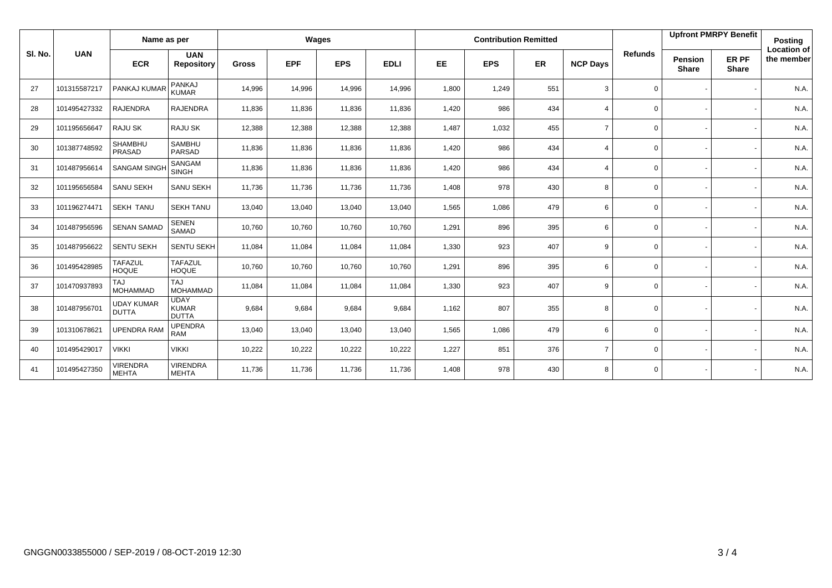|         | <b>UAN</b>   | Name as per                       |                                             | Wages        |            |            |             |           |            | <b>Contribution Remitted</b> |                         |                | <b>Upfront PMRPY Benefit</b> |                       | Posting                          |
|---------|--------------|-----------------------------------|---------------------------------------------|--------------|------------|------------|-------------|-----------|------------|------------------------------|-------------------------|----------------|------------------------------|-----------------------|----------------------------------|
| SI. No. |              | <b>ECR</b>                        | <b>UAN</b><br><b>Repository</b>             | <b>Gross</b> | <b>EPF</b> | <b>EPS</b> | <b>EDLI</b> | <b>EE</b> | <b>EPS</b> | <b>ER</b>                    | <b>NCP Days</b>         | <b>Refunds</b> | Pension<br><b>Share</b>      | ER PF<br><b>Share</b> | <b>Location of</b><br>the member |
| 27      | 101315587217 | PANKAJ KUMAR                      | PANKAJ<br><b>KUMAR</b>                      | 14,996       | 14,996     | 14,996     | 14,996      | 1,800     | 1,249      | 551                          | 3                       | $\mathbf 0$    |                              |                       | N.A.                             |
| 28      | 101495427332 | <b>RAJENDRA</b>                   | <b>RAJENDRA</b>                             | 11,836       | 11,836     | 11,836     | 11,836      | 1,420     | 986        | 434                          | $\Delta$                | $\mathbf 0$    |                              |                       | N.A.                             |
| 29      | 101195656647 | RAJU SK                           | <b>RAJU SK</b>                              | 12,388       | 12,388     | 12,388     | 12,388      | 1,487     | 1,032      | 455                          | $\overline{7}$          | 0              |                              |                       | N.A.                             |
| 30      | 101387748592 | <b>SHAMBHU</b><br>PRASAD          | <b>SAMBHU</b><br><b>PARSAD</b>              | 11,836       | 11,836     | 11,836     | 11,836      | 1,420     | 986        | 434                          | $\overline{4}$          | 0              |                              |                       | N.A.                             |
| 31      | 101487956614 | SANGAM SINGH                      | SANGAM<br><b>SINGH</b>                      | 11,836       | 11,836     | 11,836     | 11,836      | 1,420     | 986        | 434                          | $\overline{\mathbf{A}}$ | $\mathbf 0$    |                              |                       | N.A.                             |
| 32      | 101195656584 | SANU SEKH                         | <b>SANU SEKH</b>                            | 11,736       | 11,736     | 11,736     | 11,736      | 1,408     | 978        | 430                          | 8                       | $\mathbf 0$    |                              |                       | N.A.                             |
| 33      | 101196274471 | <b>SEKH TANU</b>                  | <b>SEKH TANU</b>                            | 13,040       | 13,040     | 13,040     | 13,040      | 1,565     | 1,086      | 479                          | 6                       | $\mathbf 0$    |                              |                       | N.A.                             |
| 34      | 101487956596 | <b>SENAN SAMAD</b>                | <b>SENEN</b><br>SAMAD                       | 10,760       | 10,760     | 10,760     | 10,760      | 1,291     | 896        | 395                          | 6                       | $\mathbf{0}$   |                              |                       | N.A.                             |
| 35      | 101487956622 | <b>SENTU SEKH</b>                 | SENTU SEKH                                  | 11,084       | 11,084     | 11,084     | 11,084      | 1,330     | 923        | 407                          | 9                       | $\mathbf 0$    |                              |                       | N.A.                             |
| 36      | 101495428985 | <b>TAFAZUL</b><br><b>HOQUE</b>    | <b>TAFAZUL</b><br><b>HOQUE</b>              | 10,760       | 10,760     | 10,760     | 10,760      | 1,291     | 896        | 395                          | 6                       | $\mathbf 0$    |                              |                       | N.A.                             |
| 37      | 101470937893 | <b>TAJ</b><br><b>MOHAMMAD</b>     | TAJ<br><b>MOHAMMAD</b>                      | 11,084       | 11,084     | 11,084     | 11,084      | 1,330     | 923        | 407                          | 9                       | $\mathbf 0$    |                              |                       | N.A.                             |
| 38      | 101487956701 | <b>UDAY KUMAR</b><br><b>DUTTA</b> | <b>UDAY</b><br><b>KUMAR</b><br><b>DUTTA</b> | 9,684        | 9,684      | 9,684      | 9,684       | 1,162     | 807        | 355                          | 8                       | $\mathbf 0$    |                              |                       | N.A.                             |
| 39      | 101310678621 | <b>UPENDRA RAM</b>                | <b>UPENDRA</b><br><b>RAM</b>                | 13,040       | 13,040     | 13,040     | 13,040      | 1,565     | 1,086      | 479                          | 6                       | $\mathbf 0$    |                              |                       | N.A.                             |
| 40      | 101495429017 | <b>VIKKI</b>                      | <b>VIKKI</b>                                | 10,222       | 10,222     | 10,222     | 10,222      | 1,227     | 851        | 376                          | $\overline{7}$          | $\mathbf 0$    |                              |                       | N.A.                             |
| 41      | 101495427350 | <b>VIRENDRA</b><br><b>MEHTA</b>   | <b>VIRENDRA</b><br><b>MEHTA</b>             | 11,736       | 11,736     | 11,736     | 11,736      | 1,408     | 978        | 430                          | 8                       | $\mathbf{0}$   |                              |                       | N.A.                             |